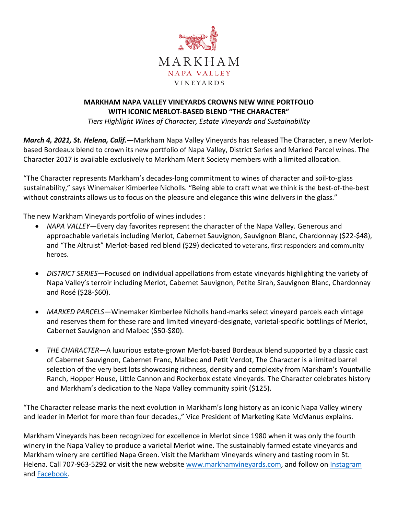

## **MARKHAM NAPA VALLEY VINEYARDS CROWNS NEW WINE PORTFOLIO WITH ICONIC MERLOT-BASED BLEND "THE CHARACTER"**

*Tiers Highlight Wines of Character, Estate Vineyards and Sustainability*

*March 4, 2021, St. Helena, Calif.—*Markham Napa Valley Vineyards has released The Character, a new Merlotbased Bordeaux blend to crown its new portfolio of Napa Valley, District Series and Marked Parcel wines. The Character 2017 is available exclusively to Markham Merit Society members with a limited allocation.

"The Character represents Markham's decades-long commitment to wines of character and soil-to-glass sustainability," says Winemaker Kimberlee Nicholls. "Being able to craft what we think is the best-of-the-best without constraints allows us to focus on the pleasure and elegance this wine delivers in the glass."

The new Markham Vineyards portfolio of wines includes :

- *NAPA VALLEY—*Every day favorites represent the character of the Napa Valley. Generous and approachable varietals including Merlot, Cabernet Sauvignon, Sauvignon Blanc, Chardonnay (\$22-\$48), and "The Altruist" Merlot-based red blend (\$29) dedicated to veterans, first responders and community heroes.
- *DISTRICT SERIES—*Focused on individual appellations from estate vineyards highlighting the variety of Napa Valley's terroir including Merlot, Cabernet Sauvignon, Petite Sirah, Sauvignon Blanc, Chardonnay and Rosé (\$28-\$60).
- *MARKED PARCELS—*Winemaker Kimberlee Nicholls hand-marks select vineyard parcels each vintage and reserves them for these rare and limited vineyard-designate, varietal-specific bottlings of Merlot, Cabernet Sauvignon and Malbec (\$50-\$80).
- *THE CHARACTER—*A luxurious estate-grown Merlot-based Bordeaux blend supported by a classic cast of Cabernet Sauvignon, Cabernet Franc, Malbec and Petit Verdot, The Character is a limited barrel selection of the very best lots showcasing richness, density and complexity from Markham's Yountville Ranch, Hopper House, Little Cannon and Rockerbox estate vineyards. The Character celebrates history and Markham's dedication to the Napa Valley community spirit (\$125).

"The Character release marks the next evolution in Markham's long history as an iconic Napa Valley winery and leader in Merlot for more than four decades.," Vice President of Marketing Kate McManus explains.

Markham Vineyards has been recognized for excellence in Merlot since 1980 when it was only the fourth winery in the Napa Valley to produce a varietal Merlot wine. The sustainably farmed estate vineyards and Markham winery are certified Napa Green. Visit the Markham Vineyards winery and tasting room in St. Helena. Call 707-963-5292 or visit the new website [www.markhamvineyards.com,](http://www.markhamvineyards.com/) and follow on [Instagram](https://instagram.com/markham_vineyards) and [Facebook.](https://www.facebook.com/MarkhamVineyards)